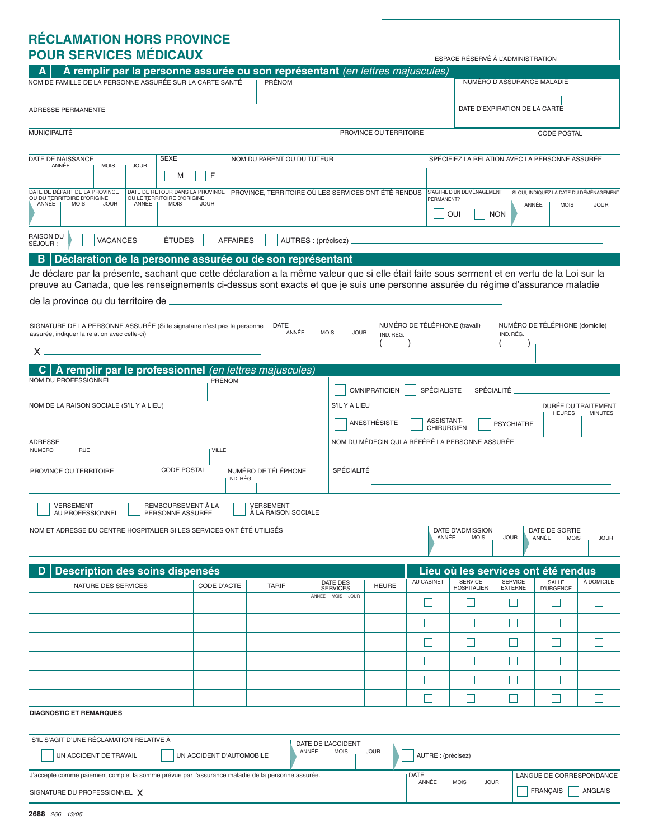## **RÉCLAMATION HORS PROVINCE POUR SERVICES MÉDICAUX**

| <b>RECLAMATION HORS PROVINCE</b>                                                                                                                                                                                                                                  |                          |                     |                                            |                                                                                                                |                               |                                   |                            |                                        |                |  |
|-------------------------------------------------------------------------------------------------------------------------------------------------------------------------------------------------------------------------------------------------------------------|--------------------------|---------------------|--------------------------------------------|----------------------------------------------------------------------------------------------------------------|-------------------------------|-----------------------------------|----------------------------|----------------------------------------|----------------|--|
| <b>POUR SERVICES MÉDICAUX</b>                                                                                                                                                                                                                                     |                          |                     |                                            |                                                                                                                |                               | ESPACE RÉSERVÉ À L'ADMINISTRATION |                            |                                        |                |  |
| À remplir par la personne assurée ou son représentant (en lettres majuscules)<br>NOM DE FAMILLE DE LA PERSONNE ASSURÉE SUR LA CARTE SANTÉ                                                                                                                         |                          | <b>PRÉNOM</b>       |                                            |                                                                                                                |                               |                                   | NUMÉRO D'ASSURANCE MALADIE |                                        |                |  |
|                                                                                                                                                                                                                                                                   |                          |                     |                                            |                                                                                                                |                               |                                   |                            |                                        |                |  |
| ADRESSE PERMANENTE                                                                                                                                                                                                                                                |                          |                     | DATE D'EXPIRATION DE LA CARTE              |                                                                                                                |                               |                                   |                            |                                        |                |  |
|                                                                                                                                                                                                                                                                   |                          |                     |                                            |                                                                                                                |                               |                                   |                            |                                        |                |  |
| MUNICIPALITÉ                                                                                                                                                                                                                                                      |                          |                     |                                            | PROVINCE OU TERRITOIRE                                                                                         |                               |                                   |                            | <b>CODE POSTAL</b>                     |                |  |
| <b>SEXE</b><br>NOM DU PARENT OU DU TUTEUR<br>DATE DE NAISSANCE                                                                                                                                                                                                    |                          |                     |                                            | SPÉCIFIEZ LA RELATION AVEC LA PERSONNE ASSURÉE                                                                 |                               |                                   |                            |                                        |                |  |
| ANNÉE<br><b>MOIS</b><br><b>JOUR</b><br>F<br>М                                                                                                                                                                                                                     |                          |                     |                                            |                                                                                                                |                               |                                   |                            |                                        |                |  |
|                                                                                                                                                                                                                                                                   |                          |                     |                                            |                                                                                                                |                               |                                   |                            |                                        |                |  |
| DATE DE DÉPART DE LA PROVINCE<br>DATE DE RETOUR DANS LA PROVINCE<br>PROVINCE, TERRITOIRE OÙ LES SERVICES ONT ÉTÉ RENDUS<br>OU DU TERRITOIRE D'ORIGINE<br>OU LE TERRITOIRE D'ORIGINE<br>ANNÉE<br><b>MOIS</b><br><b>JOUR</b><br>ANNÉE<br><b>MOIS</b><br><b>JOUR</b> |                          |                     |                                            | S'AGIT-IL D'UN DÉMÉNAGEMENT<br>SI OUI, INDIQUEZ LA DATE DU DÉMÉNAGEMENT.<br>PERMANENT?<br>ANNÉE<br><b>MOIS</b> |                               |                                   |                            |                                        | <b>JOUR</b>    |  |
|                                                                                                                                                                                                                                                                   |                          |                     |                                            |                                                                                                                |                               | OUI                               | <b>NON</b>                 |                                        |                |  |
| <b>RAISON DU</b>                                                                                                                                                                                                                                                  |                          |                     |                                            |                                                                                                                |                               |                                   |                            |                                        |                |  |
| <b>VACANCES</b><br>ÉTUDES<br>SÉJOUR :                                                                                                                                                                                                                             | <b>AFFAIRES</b>          |                     | AUTRES : (précisez) _                      |                                                                                                                |                               |                                   |                            |                                        |                |  |
| Déclaration de la personne assurée ou de son représentant<br>B                                                                                                                                                                                                    |                          |                     |                                            |                                                                                                                |                               |                                   |                            |                                        |                |  |
| Je déclare par la présente, sachant que cette déclaration a la même valeur que si elle était faite sous serment et en vertu de la Loi sur la                                                                                                                      |                          |                     |                                            |                                                                                                                |                               |                                   |                            |                                        |                |  |
| preuve au Canada, que les renseignements ci-dessus sont exacts et que je suis une personne assurée du régime d'assurance maladie                                                                                                                                  |                          |                     |                                            |                                                                                                                |                               |                                   |                            |                                        |                |  |
| de la province ou du territoire de _                                                                                                                                                                                                                              |                          |                     |                                            |                                                                                                                |                               |                                   |                            |                                        |                |  |
| SIGNATURE DE LA PERSONNE ASSURÉE (Si le signataire n'est pas la personne                                                                                                                                                                                          |                          | <b>DATE</b>         |                                            |                                                                                                                | NUMÉRO DE TÉLÉPHONE (travail) |                                   |                            | NUMÉRO DE TÉLÉPHONE (domicile)         |                |  |
| assurée, indiquer la relation avec celle-ci)                                                                                                                                                                                                                      |                          | ANNÉE               | <b>MOIS</b>                                | <b>JOUR</b><br>IND, RÉG.                                                                                       |                               |                                   | IND. RÉG.                  |                                        |                |  |
| Χ.                                                                                                                                                                                                                                                                |                          |                     |                                            |                                                                                                                |                               |                                   |                            |                                        |                |  |
| À remplir par le professionnel (en lettres majuscules)                                                                                                                                                                                                            |                          |                     |                                            |                                                                                                                |                               |                                   |                            |                                        |                |  |
| <b>NOM DU PROFESSIONNEL</b>                                                                                                                                                                                                                                       | <b>PRÉNOM</b>            |                     |                                            | <b>OMNIPRATICIEN</b>                                                                                           | SPÉCIALISTE                   |                                   | SPÉCIALITÉ                 |                                        |                |  |
| NOM DE LA RAISON SOCIALE (S'IL Y A LIEU)                                                                                                                                                                                                                          |                          |                     |                                            | S'ILY A LIEU<br>DURÉE DU TRAITEMENT                                                                            |                               |                                   |                            |                                        |                |  |
|                                                                                                                                                                                                                                                                   |                          |                     |                                            |                                                                                                                | ASSISTANT-                    |                                   |                            | <b>HEURES</b>                          | <b>MINUTES</b> |  |
|                                                                                                                                                                                                                                                                   |                          |                     |                                            | ANESTHÉSISTE                                                                                                   | <b>CHIRURGIEN</b>             |                                   | <b>PSYCHIATRE</b>          |                                        |                |  |
| <b>ADRESSE</b><br><b>NUMÉRO</b><br><b>RUE</b>                                                                                                                                                                                                                     | <b>VILLE</b>             |                     |                                            | NOM DU MÉDECIN QUI A RÉFÉRÉ LA PERSONNE ASSURÉE                                                                |                               |                                   |                            |                                        |                |  |
| <b>CODE POSTAL</b><br>NUMÉRO DE TÉLÉPHONE<br>PROVINCE OU TERRITOIRE                                                                                                                                                                                               |                          |                     |                                            | SPÉCIALITÉ                                                                                                     |                               |                                   |                            |                                        |                |  |
|                                                                                                                                                                                                                                                                   | IND. RÉG.                |                     |                                            |                                                                                                                |                               |                                   |                            |                                        |                |  |
| REMBOURSEMENT À LA<br><b>VERSEMENT</b>                                                                                                                                                                                                                            |                          | <b>VERSEMENT</b>    |                                            |                                                                                                                |                               |                                   |                            |                                        |                |  |
| AU PROFESSIONNEL<br>PERSONNE ASSURÉE                                                                                                                                                                                                                              |                          | À LA RAISON SOCIALE |                                            |                                                                                                                |                               |                                   |                            |                                        |                |  |
| NOM ET ADRESSE DU CENTRE HOSPITALIER SI LES SERVICES ONT ÉTÉ UTILISÉS                                                                                                                                                                                             |                          |                     |                                            |                                                                                                                | ANNÉE                         | DATE D'ADMISSION<br><b>MOIS</b>   | <b>JOUR</b>                | DATE DE SORTIE<br>ANNÉE<br><b>MOIS</b> | <b>JOUR</b>    |  |
|                                                                                                                                                                                                                                                                   |                          |                     |                                            |                                                                                                                |                               |                                   |                            |                                        |                |  |
|                                                                                                                                                                                                                                                                   |                          |                     |                                            |                                                                                                                |                               |                                   |                            | Lieu où les services ont été rendus    |                |  |
| Description des soins dispensés<br>NATURE DES SERVICES                                                                                                                                                                                                            | CODE D'ACTE              | <b>TARIF</b>        | DATE DES                                   | <b>HEURE</b>                                                                                                   | AU CABINET                    | <b>SERVICE</b>                    | <b>SERVICE</b>             | SALLE                                  | À DOMICILE     |  |
|                                                                                                                                                                                                                                                                   |                          |                     | <b>SERVICES</b><br>ANNÉE MOIS JOUR         |                                                                                                                |                               | <b>HOSPITALIER</b>                | <b>EXTERNE</b>             | <b>D'URGENCE</b>                       |                |  |
|                                                                                                                                                                                                                                                                   |                          |                     |                                            |                                                                                                                | H                             |                                   | ×                          |                                        |                |  |
|                                                                                                                                                                                                                                                                   |                          |                     |                                            |                                                                                                                | H                             | $\mathbf{L}$                      | $\mathbf{L}$               |                                        |                |  |
|                                                                                                                                                                                                                                                                   |                          |                     |                                            |                                                                                                                | L.                            |                                   |                            |                                        |                |  |
|                                                                                                                                                                                                                                                                   |                          |                     |                                            |                                                                                                                | п                             |                                   | M                          |                                        |                |  |
|                                                                                                                                                                                                                                                                   |                          |                     |                                            |                                                                                                                |                               |                                   |                            |                                        |                |  |
|                                                                                                                                                                                                                                                                   |                          |                     |                                            |                                                                                                                | H                             |                                   | L                          |                                        |                |  |
|                                                                                                                                                                                                                                                                   |                          |                     |                                            |                                                                                                                | H                             | ×.                                | $\mathbf{L}$               |                                        |                |  |
| <b>DIAGNOSTIC ET REMARQUES</b>                                                                                                                                                                                                                                    |                          |                     |                                            |                                                                                                                |                               |                                   |                            |                                        |                |  |
|                                                                                                                                                                                                                                                                   |                          |                     |                                            |                                                                                                                |                               |                                   |                            |                                        |                |  |
| S'IL S'AGIT D'UNE RÉCLAMATION RELATIVE À                                                                                                                                                                                                                          |                          |                     | DATE DE L'ACCIDENT<br>ANNÉE<br><b>MOIS</b> | <b>JOUR</b>                                                                                                    |                               |                                   |                            |                                        |                |  |
| UN ACCIDENT DE TRAVAIL                                                                                                                                                                                                                                            | UN ACCIDENT D'AUTOMOBILE |                     |                                            |                                                                                                                | AUTRE : (précisez) .          |                                   |                            |                                        |                |  |
| J'accepte comme paiement complet la somme prévue par l'assurance maladie de la personne assurée.                                                                                                                                                                  |                          |                     | DATE<br>ANNÉE                              | <b>MOIS</b>                                                                                                    | <b>JOUR</b>                   | LANGUE DE CORRESPONDANCE          |                            |                                        |                |  |
|                                                                                                                                                                                                                                                                   |                          |                     |                                            |                                                                                                                |                               |                                   |                            | <b>FRANÇAIS</b>                        | ANGLAIS        |  |
|                                                                                                                                                                                                                                                                   |                          |                     |                                            |                                                                                                                |                               |                                   |                            |                                        |                |  |